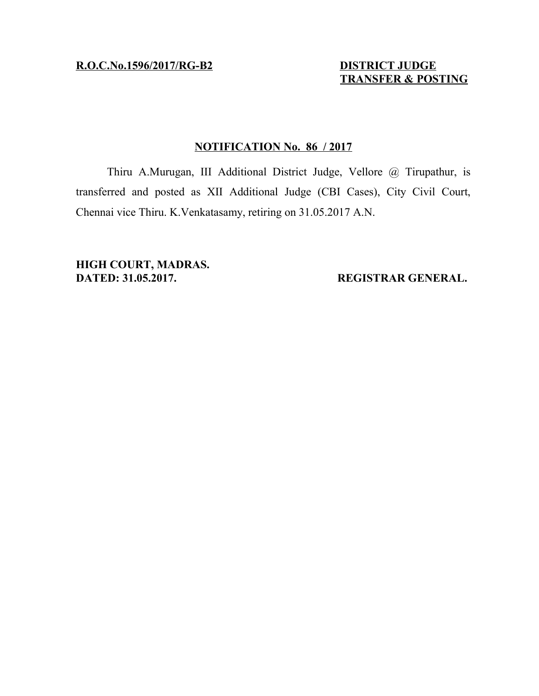**R.O.C.No.1596/2017/RG-B2 DISTRICT JUDGE**

 **TRANSFER & POSTING**

## **NOTIFICATION No. 86 / 2017**

Thiru A.Murugan, III Additional District Judge, Vellore @ Tirupathur, is transferred and posted as XII Additional Judge (CBI Cases), City Civil Court, Chennai vice Thiru. K.Venkatasamy, retiring on 31.05.2017 A.N.

**HIGH COURT, MADRAS. DATED: 31.05.2017. REGISTRAR GENERAL.**